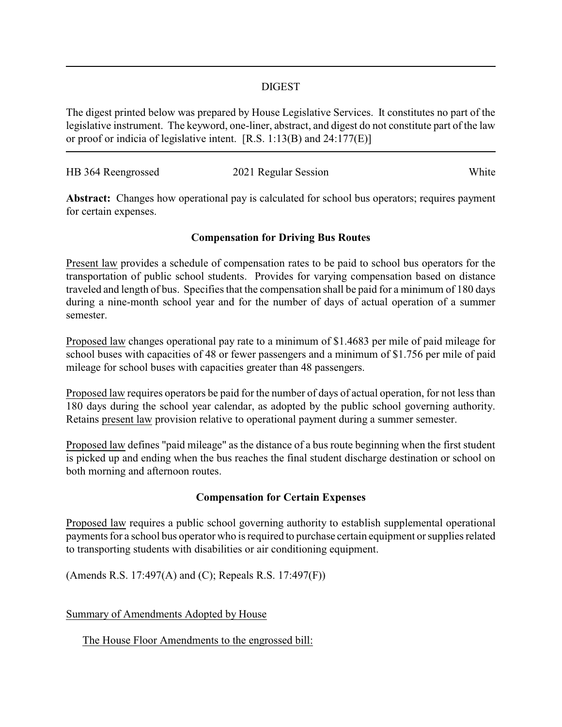## DIGEST

The digest printed below was prepared by House Legislative Services. It constitutes no part of the legislative instrument. The keyword, one-liner, abstract, and digest do not constitute part of the law or proof or indicia of legislative intent. [R.S. 1:13(B) and 24:177(E)]

| HB 364 Reengrossed | 2021 Regular Session | White |
|--------------------|----------------------|-------|

Abstract: Changes how operational pay is calculated for school bus operators; requires payment for certain expenses.

## **Compensation for Driving Bus Routes**

Present law provides a schedule of compensation rates to be paid to school bus operators for the transportation of public school students. Provides for varying compensation based on distance traveled and length of bus. Specifies that the compensation shall be paid for a minimum of 180 days during a nine-month school year and for the number of days of actual operation of a summer semester.

Proposed law changes operational pay rate to a minimum of \$1.4683 per mile of paid mileage for school buses with capacities of 48 or fewer passengers and a minimum of \$1.756 per mile of paid mileage for school buses with capacities greater than 48 passengers.

Proposed law requires operators be paid for the number of days of actual operation, for not less than 180 days during the school year calendar, as adopted by the public school governing authority. Retains present law provision relative to operational payment during a summer semester.

Proposed law defines "paid mileage" as the distance of a bus route beginning when the first student is picked up and ending when the bus reaches the final student discharge destination or school on both morning and afternoon routes.

## **Compensation for Certain Expenses**

Proposed law requires a public school governing authority to establish supplemental operational payments for a school bus operator who is required to purchase certain equipment or supplies related to transporting students with disabilities or air conditioning equipment.

(Amends R.S. 17:497(A) and (C); Repeals R.S. 17:497(F))

Summary of Amendments Adopted by House

The House Floor Amendments to the engrossed bill: